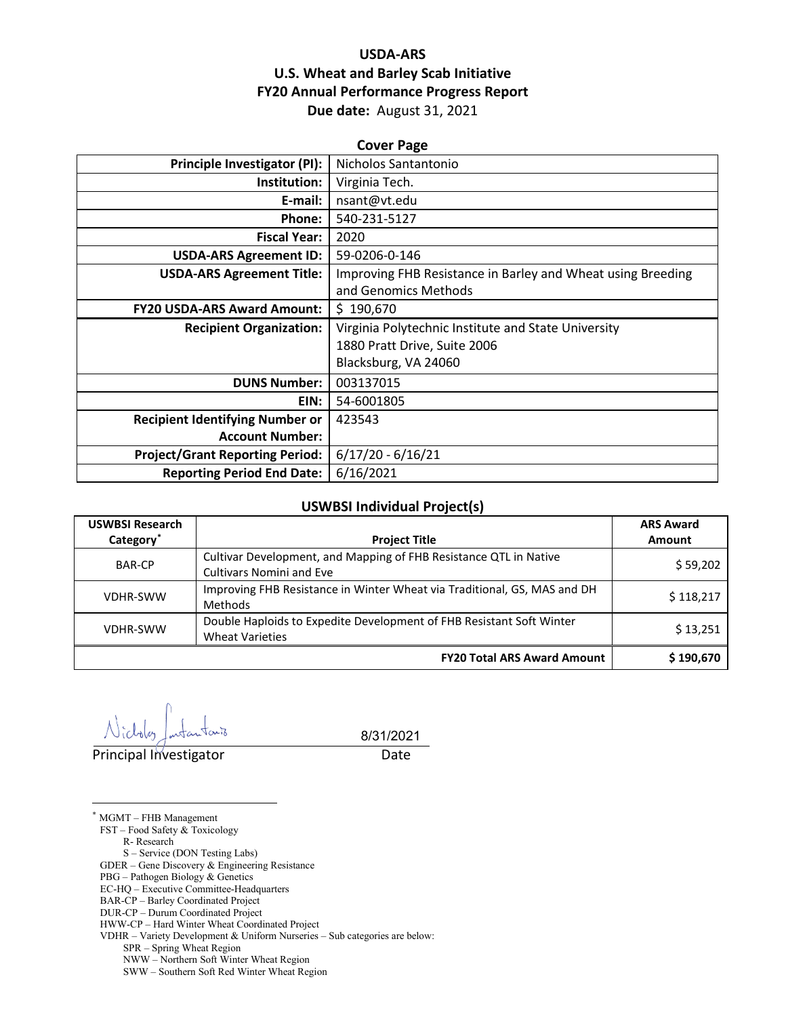## **USDA-ARS U.S. Wheat and Barley Scab Initiative FY20 Annual Performance Progress Report Due date:** August 31, 2021

| <b>Cover Page</b>                      |                                                             |  |  |  |
|----------------------------------------|-------------------------------------------------------------|--|--|--|
| <b>Principle Investigator (PI):</b>    | Nicholos Santantonio                                        |  |  |  |
| Institution:                           | Virginia Tech.                                              |  |  |  |
| E-mail:                                | nsant@vt.edu                                                |  |  |  |
| Phone:                                 | 540-231-5127                                                |  |  |  |
| <b>Fiscal Year:</b>                    | 2020                                                        |  |  |  |
| <b>USDA-ARS Agreement ID:</b>          | 59-0206-0-146                                               |  |  |  |
| <b>USDA-ARS Agreement Title:</b>       | Improving FHB Resistance in Barley and Wheat using Breeding |  |  |  |
|                                        | and Genomics Methods                                        |  |  |  |
| <b>FY20 USDA-ARS Award Amount:</b>     | \$190,670                                                   |  |  |  |
| <b>Recipient Organization:</b>         | Virginia Polytechnic Institute and State University         |  |  |  |
|                                        | 1880 Pratt Drive, Suite 2006                                |  |  |  |
|                                        | Blacksburg, VA 24060                                        |  |  |  |
| <b>DUNS Number:</b>                    | 003137015                                                   |  |  |  |
| EIN:                                   | 54-6001805                                                  |  |  |  |
| <b>Recipient Identifying Number or</b> | 423543                                                      |  |  |  |
| <b>Account Number:</b>                 |                                                             |  |  |  |
| <b>Project/Grant Reporting Period:</b> | $6/17/20 - 6/16/21$                                         |  |  |  |
| <b>Reporting Period End Date:</b>      | 6/16/2021                                                   |  |  |  |

#### **USWBSI Individual Project(s)**

| <b>USWBSI Research</b> |                                                                          | <b>ARS Award</b> |  |
|------------------------|--------------------------------------------------------------------------|------------------|--|
| Category <sup>*</sup>  | <b>Project Title</b>                                                     | <b>Amount</b>    |  |
| <b>BAR-CP</b>          | Cultivar Development, and Mapping of FHB Resistance QTL in Native        | \$59,202         |  |
|                        | <b>Cultivars Nomini and Eve</b>                                          |                  |  |
| <b>VDHR-SWW</b>        | Improving FHB Resistance in Winter Wheat via Traditional, GS, MAS and DH | \$118,217        |  |
|                        | Methods                                                                  |                  |  |
| <b>VDHR-SWW</b>        | Double Haploids to Expedite Development of FHB Resistant Soft Winter     | \$13,251         |  |
|                        | <b>Wheat Varieties</b>                                                   |                  |  |
|                        | <b>FY20 Total ARS Award Amount</b>                                       | \$190,670        |  |

Principal Investigator **Date** 

8/31/2021

<span id="page-0-0"></span>\* MGMT – FHB Management

 $\overline{a}$ 

FST – Food Safety & Toxicology

R- Research

S – Service (DON Testing Labs) GDER – Gene Discovery & Engineering Resistance

PBG – Pathogen Biology & Genetics

EC-HQ – Executive Committee-Headquarters

BAR-CP – Barley Coordinated Project

DUR-CP – Durum Coordinated Project

HWW-CP – Hard Winter Wheat Coordinated Project

VDHR – Variety Development & Uniform Nurseries – Sub categories are below:

SPR – Spring Wheat Region

NWW – Northern Soft Winter Wheat Region

SWW – Southern Soft Red Winter Wheat Region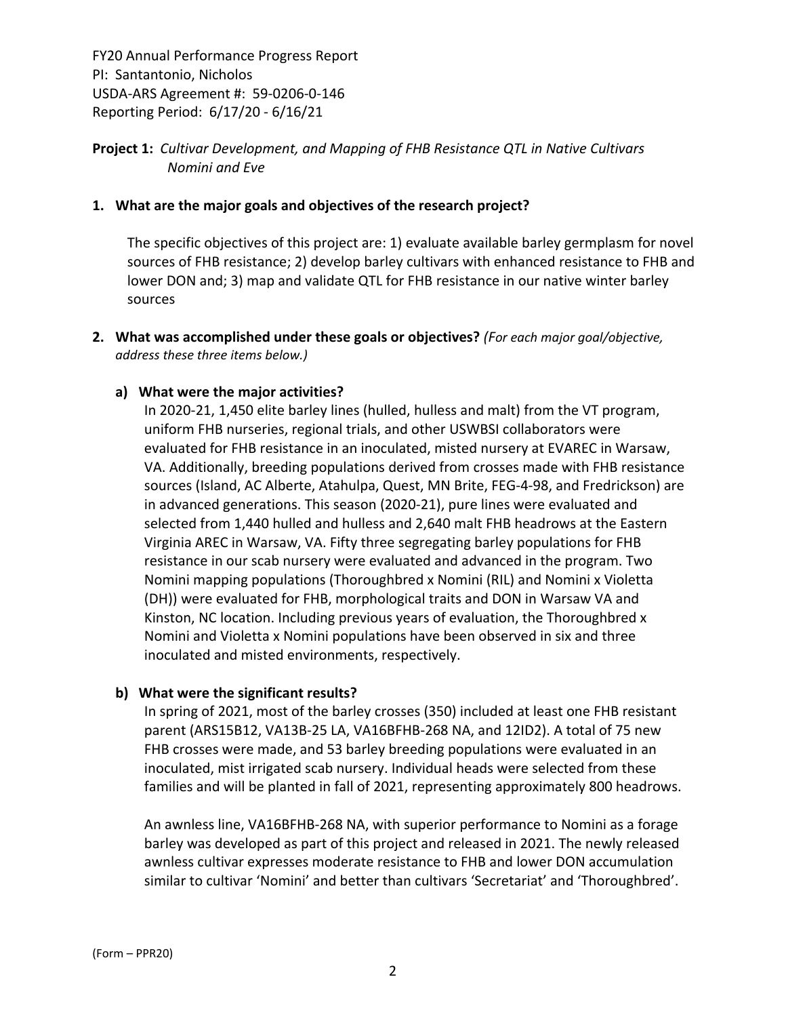## **Project 1:** *Cultivar Development, and Mapping of FHB Resistance QTL in Native Cultivars Nomini and Eve*

#### **1. What are the major goals and objectives of the research project?**

The specific objectives of this project are: 1) evaluate available barley germplasm for novel sources of FHB resistance; 2) develop barley cultivars with enhanced resistance to FHB and lower DON and; 3) map and validate QTL for FHB resistance in our native winter barley sources

**2. What was accomplished under these goals or objectives?** *(For each major goal/objective, address these three items below.)*

### **a) What were the major activities?**

In 2020‐21, 1,450 elite barley lines (hulled, hulless and malt) from the VT program, uniform FHB nurseries, regional trials, and other USWBSI collaborators were evaluated for FHB resistance in an inoculated, misted nursery at EVAREC in Warsaw, VA. Additionally, breeding populations derived from crosses made with FHB resistance sources (Island, AC Alberte, Atahulpa, Quest, MN Brite, FEG‐4‐98, and Fredrickson) are in advanced generations. This season (2020‐21), pure lines were evaluated and selected from 1,440 hulled and hulless and 2,640 malt FHB headrows at the Eastern Virginia AREC in Warsaw, VA. Fifty three segregating barley populations for FHB resistance in our scab nursery were evaluated and advanced in the program. Two Nomini mapping populations (Thoroughbred x Nomini (RIL) and Nomini x Violetta (DH)) were evaluated for FHB, morphological traits and DON in Warsaw VA and Kinston, NC location. Including previous years of evaluation, the Thoroughbred x Nomini and Violetta x Nomini populations have been observed in six and three inoculated and misted environments, respectively.

#### **b) What were the significant results?**

In spring of 2021, most of the barley crosses (350) included at least one FHB resistant parent (ARS15B12, VA13B‐25 LA, VA16BFHB‐268 NA, and 12ID2). A total of 75 new FHB crosses were made, and 53 barley breeding populations were evaluated in an inoculated, mist irrigated scab nursery. Individual heads were selected from these families and will be planted in fall of 2021, representing approximately 800 headrows.

An awnless line, VA16BFHB‐268 NA, with superior performance to Nomini as a forage barley was developed as part of this project and released in 2021. The newly released awnless cultivar expresses moderate resistance to FHB and lower DON accumulation similar to cultivar 'Nomini' and better than cultivars 'Secretariat' and 'Thoroughbred'.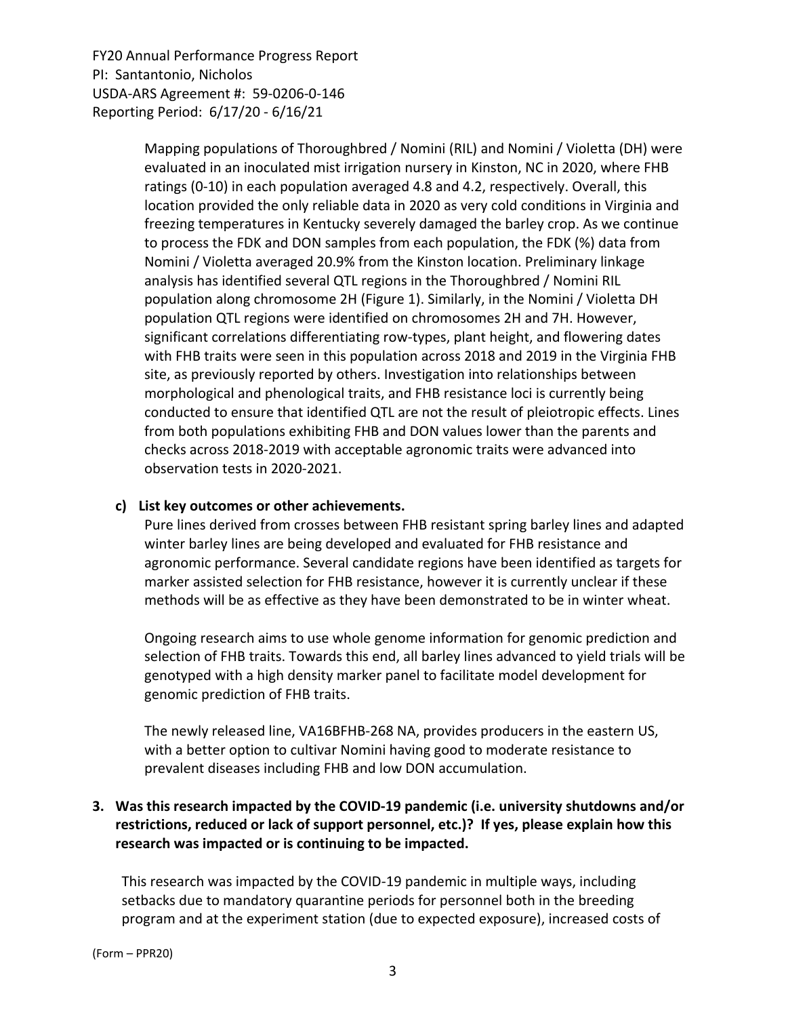> Mapping populations of Thoroughbred / Nomini (RIL) and Nomini / Violetta (DH) were evaluated in an inoculated mist irrigation nursery in Kinston, NC in 2020, where FHB ratings (0‐10) in each population averaged 4.8 and 4.2, respectively. Overall, this location provided the only reliable data in 2020 as very cold conditions in Virginia and freezing temperatures in Kentucky severely damaged the barley crop. As we continue to process the FDK and DON samples from each population, the FDK (%) data from Nomini / Violetta averaged 20.9% from the Kinston location. Preliminary linkage analysis has identified several QTL regions in the Thoroughbred / Nomini RIL population along chromosome 2H (Figure 1). Similarly, in the Nomini / Violetta DH population QTL regions were identified on chromosomes 2H and 7H. However, significant correlations differentiating row‐types, plant height, and flowering dates with FHB traits were seen in this population across 2018 and 2019 in the Virginia FHB site, as previously reported by others. Investigation into relationships between morphological and phenological traits, and FHB resistance loci is currently being conducted to ensure that identified QTL are not the result of pleiotropic effects. Lines from both populations exhibiting FHB and DON values lower than the parents and checks across 2018‐2019 with acceptable agronomic traits were advanced into observation tests in 2020‐2021.

#### **c) List key outcomes or other achievements.**

Pure lines derived from crosses between FHB resistant spring barley lines and adapted winter barley lines are being developed and evaluated for FHB resistance and agronomic performance. Several candidate regions have been identified as targets for marker assisted selection for FHB resistance, however it is currently unclear if these methods will be as effective as they have been demonstrated to be in winter wheat.

Ongoing research aims to use whole genome information for genomic prediction and selection of FHB traits. Towards this end, all barley lines advanced to yield trials will be genotyped with a high density marker panel to facilitate model development for genomic prediction of FHB traits.

The newly released line, VA16BFHB‐268 NA, provides producers in the eastern US, with a better option to cultivar Nomini having good to moderate resistance to prevalent diseases including FHB and low DON accumulation.

## **3. Was this research impacted by the COVID‐19 pandemic (i.e. university shutdowns and/or restrictions, reduced or lack of support personnel, etc.)? If yes, please explain how this research was impacted or is continuing to be impacted.**

This research was impacted by the COVID‐19 pandemic in multiple ways, including setbacks due to mandatory quarantine periods for personnel both in the breeding program and at the experiment station (due to expected exposure), increased costs of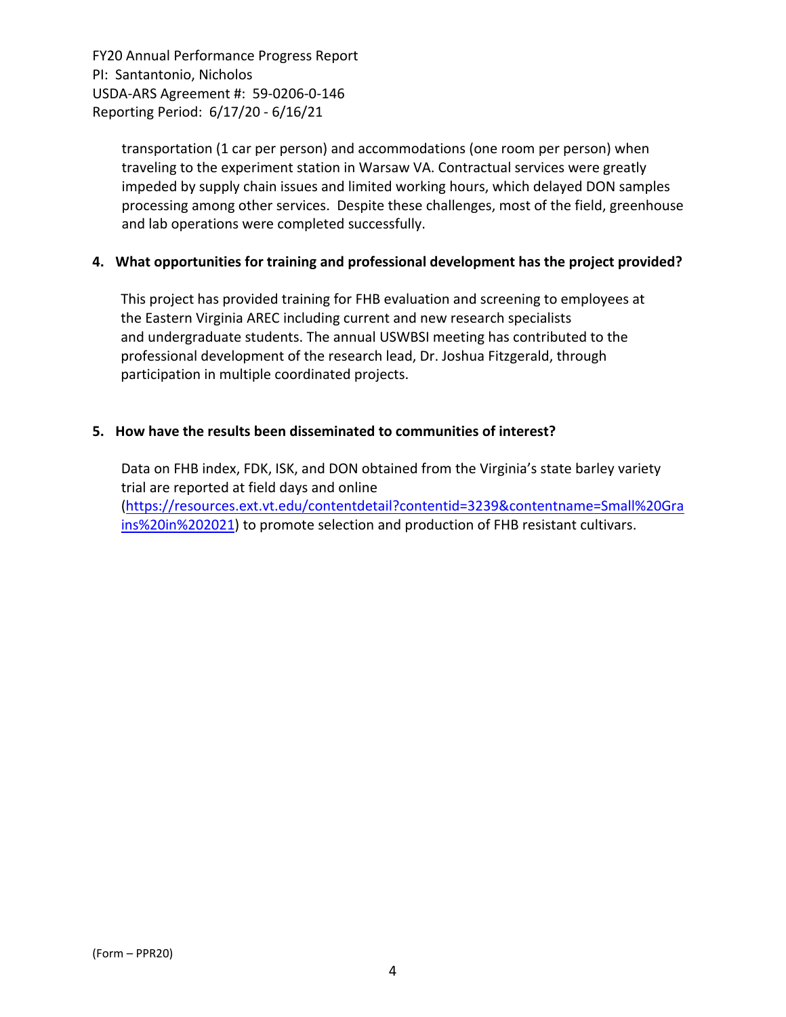> transportation (1 car per person) and accommodations (one room per person) when traveling to the experiment station in Warsaw VA. Contractual services were greatly impeded by supply chain issues and limited working hours, which delayed DON samples processing among other services. Despite these challenges, most of the field, greenhouse and lab operations were completed successfully.

### **4. What opportunities for training and professional development has the project provided?**

This project has provided training for FHB evaluation and screening to employees at the Eastern Virginia AREC including current and new research specialists and undergraduate students. The annual USWBSI meeting has contributed to the professional development of the research lead, Dr. Joshua Fitzgerald, through participation in multiple coordinated projects.

#### **5. How have the results been disseminated to communities of interest?**

Data on FHB index, FDK, ISK, and DON obtained from the Virginia's state barley variety trial are reported at field days and online (https://resources.ext.vt.edu/contentdetail?contentid=3239&contentname=Small%20Gra ins%20in%202021) to promote selection and production of FHB resistant cultivars.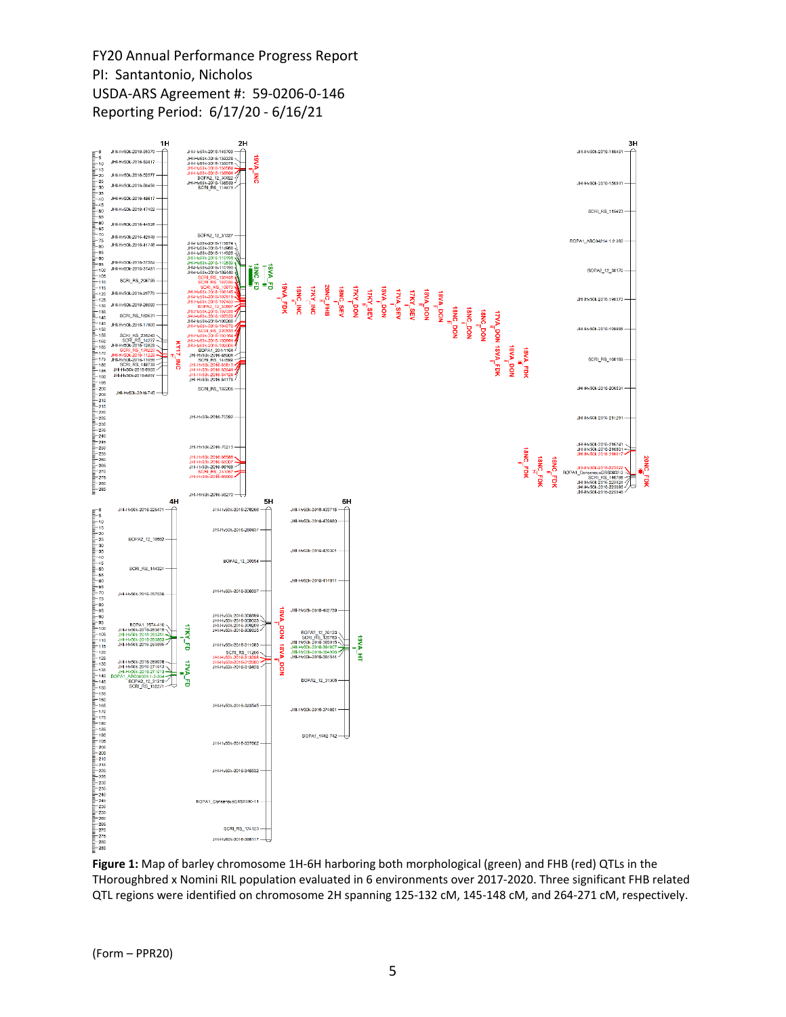

**Figure 1:** Map of barley chromosome 1H‐6H harboring both morphological (green) and FHB (red) QTLs in the THoroughbred x Nomini RIL population evaluated in 6 environments over 2017‐2020. Three significant FHB related QTL regions were identified on chromosome 2H spanning 125‐132 cM, 145‐148 cM, and 264‐271 cM, respectively.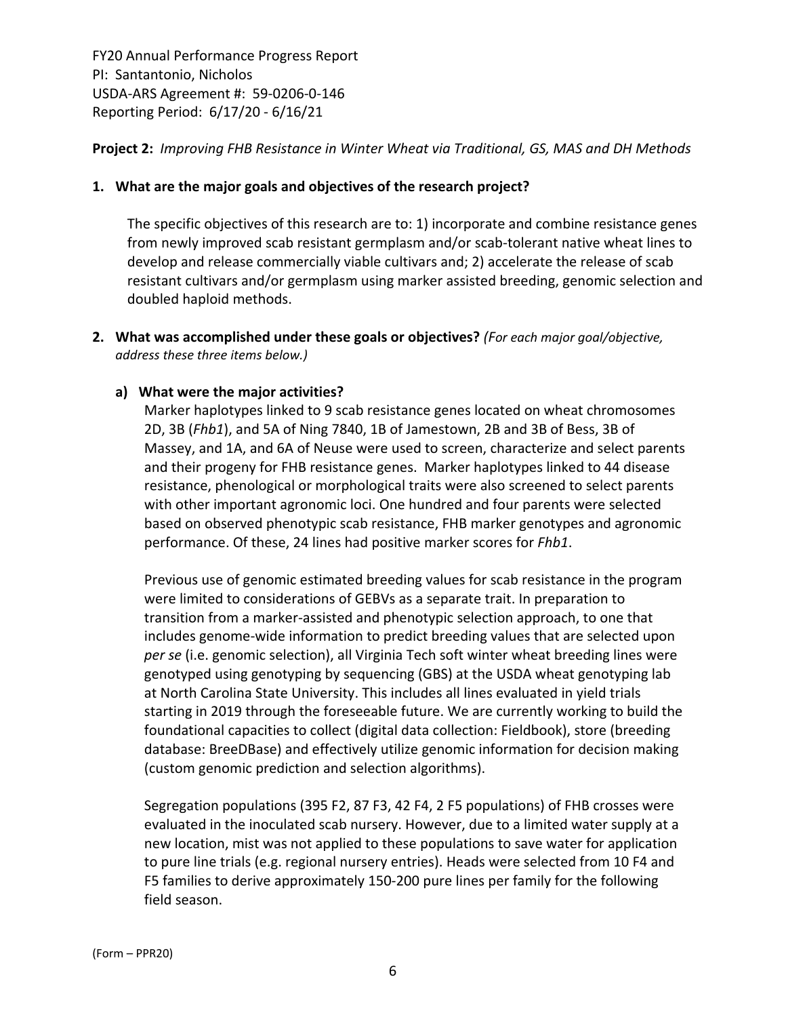### **Project 2:** *Improving FHB Resistance in Winter Wheat via Traditional, GS, MAS and DH Methods*

#### **1. What are the major goals and objectives of the research project?**

The specific objectives of this research are to: 1) incorporate and combine resistance genes from newly improved scab resistant germplasm and/or scab-tolerant native wheat lines to develop and release commercially viable cultivars and; 2) accelerate the release of scab resistant cultivars and/or germplasm using marker assisted breeding, genomic selection and doubled haploid methods.

**2. What was accomplished under these goals or objectives?** *(For each major goal/objective, address these three items below.)*

#### **a) What were the major activities?**

Marker haplotypes linked to 9 scab resistance genes located on wheat chromosomes 2D, 3B (*Fhb1*), and 5A of Ning 7840, 1B of Jamestown, 2B and 3B of Bess, 3B of Massey, and 1A, and 6A of Neuse were used to screen, characterize and select parents and their progeny for FHB resistance genes. Marker haplotypes linked to 44 disease resistance, phenological or morphological traits were also screened to select parents with other important agronomic loci. One hundred and four parents were selected based on observed phenotypic scab resistance, FHB marker genotypes and agronomic performance. Of these, 24 lines had positive marker scores for *Fhb1*.

Previous use of genomic estimated breeding values for scab resistance in the program were limited to considerations of GEBVs as a separate trait. In preparation to transition from a marker‐assisted and phenotypic selection approach, to one that includes genome‐wide information to predict breeding values that are selected upon *per se* (i.e. genomic selection), all Virginia Tech soft winter wheat breeding lines were genotyped using genotyping by sequencing (GBS) at the USDA wheat genotyping lab at North Carolina State University. This includes all lines evaluated in yield trials starting in 2019 through the foreseeable future. We are currently working to build the foundational capacities to collect (digital data collection: Fieldbook), store (breeding database: BreeDBase) and effectively utilize genomic information for decision making (custom genomic prediction and selection algorithms).

Segregation populations (395 F2, 87 F3, 42 F4, 2 F5 populations) of FHB crosses were evaluated in the inoculated scab nursery. However, due to a limited water supply at a new location, mist was not applied to these populations to save water for application to pure line trials (e.g. regional nursery entries). Heads were selected from 10 F4 and F5 families to derive approximately 150‐200 pure lines per family for the following field season.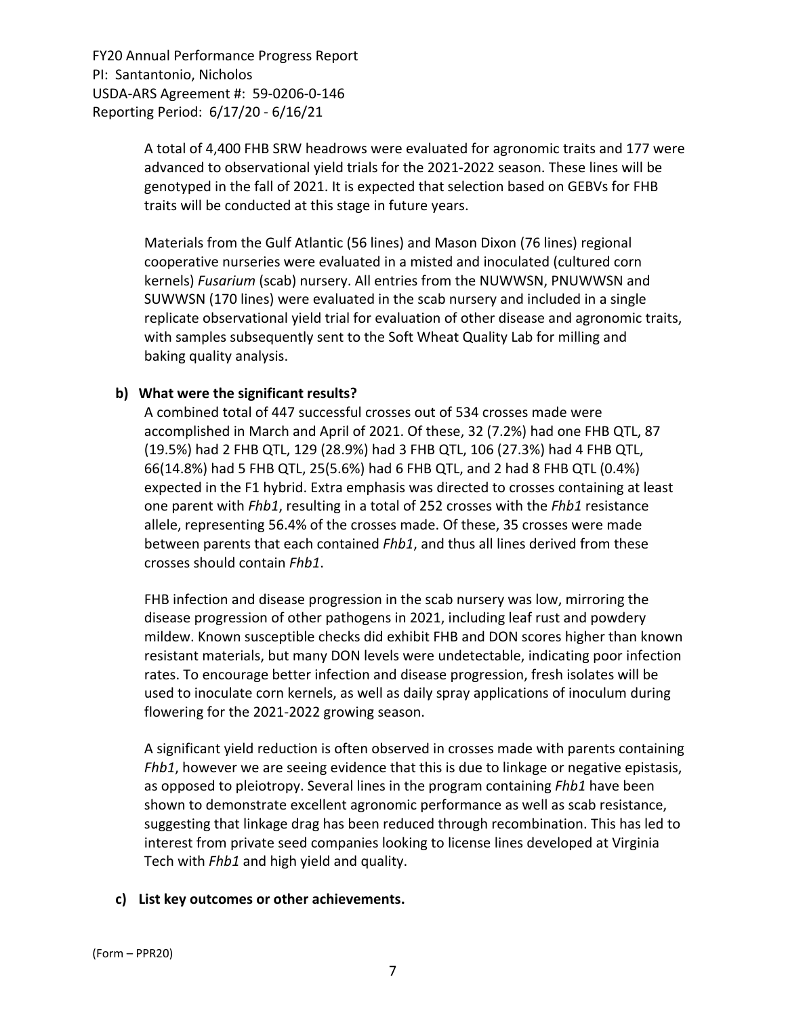> A total of 4,400 FHB SRW headrows were evaluated for agronomic traits and 177 were advanced to observational yield trials for the 2021‐2022 season. These lines will be genotyped in the fall of 2021. It is expected that selection based on GEBVs for FHB traits will be conducted at this stage in future years.

> Materials from the Gulf Atlantic (56 lines) and Mason Dixon (76 lines) regional cooperative nurseries were evaluated in a misted and inoculated (cultured corn kernels) *Fusarium* (scab) nursery. All entries from the NUWWSN, PNUWWSN and SUWWSN (170 lines) were evaluated in the scab nursery and included in a single replicate observational yield trial for evaluation of other disease and agronomic traits, with samples subsequently sent to the Soft Wheat Quality Lab for milling and baking quality analysis.

### **b) What were the significant results?**

A combined total of 447 successful crosses out of 534 crosses made were accomplished in March and April of 2021. Of these, 32 (7.2%) had one FHB QTL, 87 (19.5%) had 2 FHB QTL, 129 (28.9%) had 3 FHB QTL, 106 (27.3%) had 4 FHB QTL, 66(14.8%) had 5 FHB QTL, 25(5.6%) had 6 FHB QTL, and 2 had 8 FHB QTL (0.4%) expected in the F1 hybrid. Extra emphasis was directed to crosses containing at least one parent with *Fhb1*, resulting in a total of 252 crosses with the *Fhb1* resistance allele, representing 56.4% of the crosses made. Of these, 35 crosses were made between parents that each contained *Fhb1*, and thus all lines derived from these crosses should contain *Fhb1*.

FHB infection and disease progression in the scab nursery was low, mirroring the disease progression of other pathogens in 2021, including leaf rust and powdery mildew. Known susceptible checks did exhibit FHB and DON scores higher than known resistant materials, but many DON levels were undetectable, indicating poor infection rates. To encourage better infection and disease progression, fresh isolates will be used to inoculate corn kernels, as well as daily spray applications of inoculum during flowering for the 2021‐2022 growing season.

A significant yield reduction is often observed in crosses made with parents containing *Fhb1*, however we are seeing evidence that this is due to linkage or negative epistasis, as opposed to pleiotropy. Several lines in the program containing *Fhb1* have been shown to demonstrate excellent agronomic performance as well as scab resistance, suggesting that linkage drag has been reduced through recombination. This has led to interest from private seed companies looking to license lines developed at Virginia Tech with *Fhb1* and high yield and quality.

## **c) List key outcomes or other achievements.**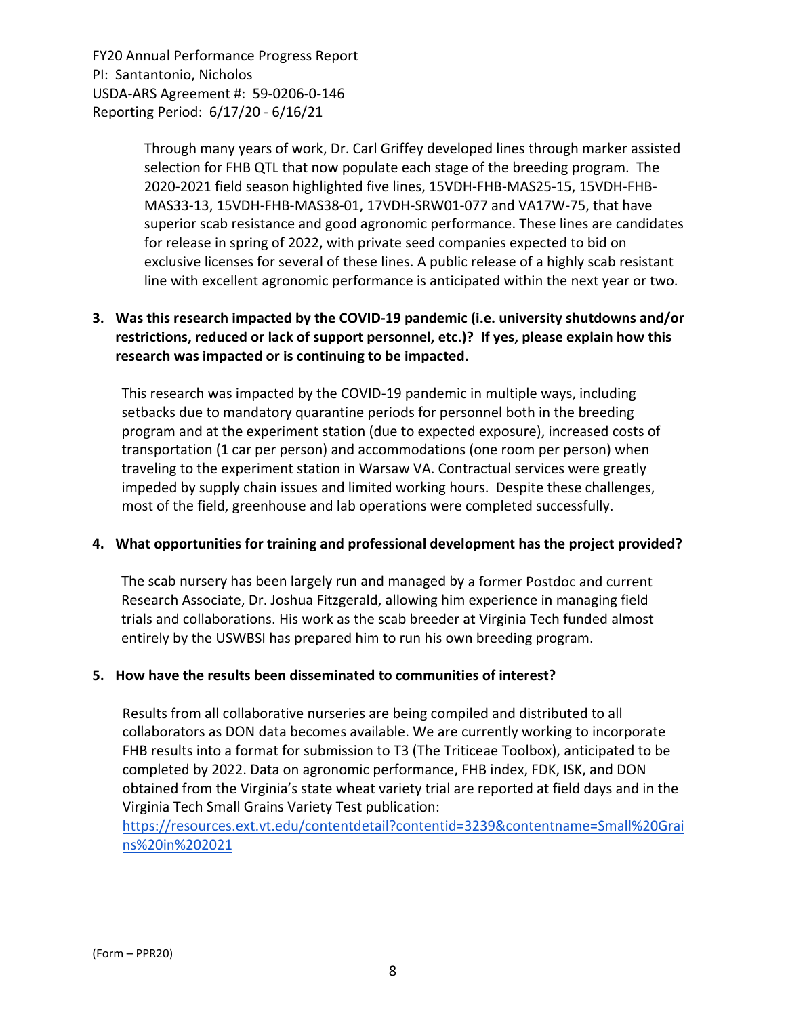> Through many years of work, Dr. Carl Griffey developed lines through marker assisted selection for FHB QTL that now populate each stage of the breeding program. The 2020‐2021 field season highlighted five lines, 15VDH‐FHB‐MAS25‐15, 15VDH‐FHB‐ MAS33‐13, 15VDH‐FHB‐MAS38‐01, 17VDH‐SRW01‐077 and VA17W‐75, that have superior scab resistance and good agronomic performance. These lines are candidates for release in spring of 2022, with private seed companies expected to bid on exclusive licenses for several of these lines. A public release of a highly scab resistant line with excellent agronomic performance is anticipated within the next year or two.

## **3. Was this research impacted by the COVID‐19 pandemic (i.e. university shutdowns and/or restrictions, reduced or lack of support personnel, etc.)? If yes, please explain how this research was impacted or is continuing to be impacted.**

This research was impacted by the COVID‐19 pandemic in multiple ways, including setbacks due to mandatory quarantine periods for personnel both in the breeding program and at the experiment station (due to expected exposure), increased costs of transportation (1 car per person) and accommodations (one room per person) when traveling to the experiment station in Warsaw VA. Contractual services were greatly impeded by supply chain issues and limited working hours. Despite these challenges, most of the field, greenhouse and lab operations were completed successfully.

## **4. What opportunities for training and professional development has the project provided?**

The scab nursery has been largely run and managed by a former Postdoc and current Research Associate, Dr. Joshua Fitzgerald, allowing him experience in managing field trials and collaborations. His work as the scab breeder at Virginia Tech funded almost entirely by the USWBSI has prepared him to run his own breeding program.

#### **5. How have the results been disseminated to communities of interest?**

Results from all collaborative nurseries are being compiled and distributed to all collaborators as DON data becomes available. We are currently working to incorporate FHB results into a format for submission to T3 (The Triticeae Toolbox), anticipated to be completed by 2022. Data on agronomic performance, FHB index, FDK, ISK, and DON obtained from the Virginia's state wheat variety trial are reported at field days and in the Virginia Tech Small Grains Variety Test publication:

https://resources.ext.vt.edu/contentdetail?contentid=3239&contentname=Small%20Grai ns%20in%202021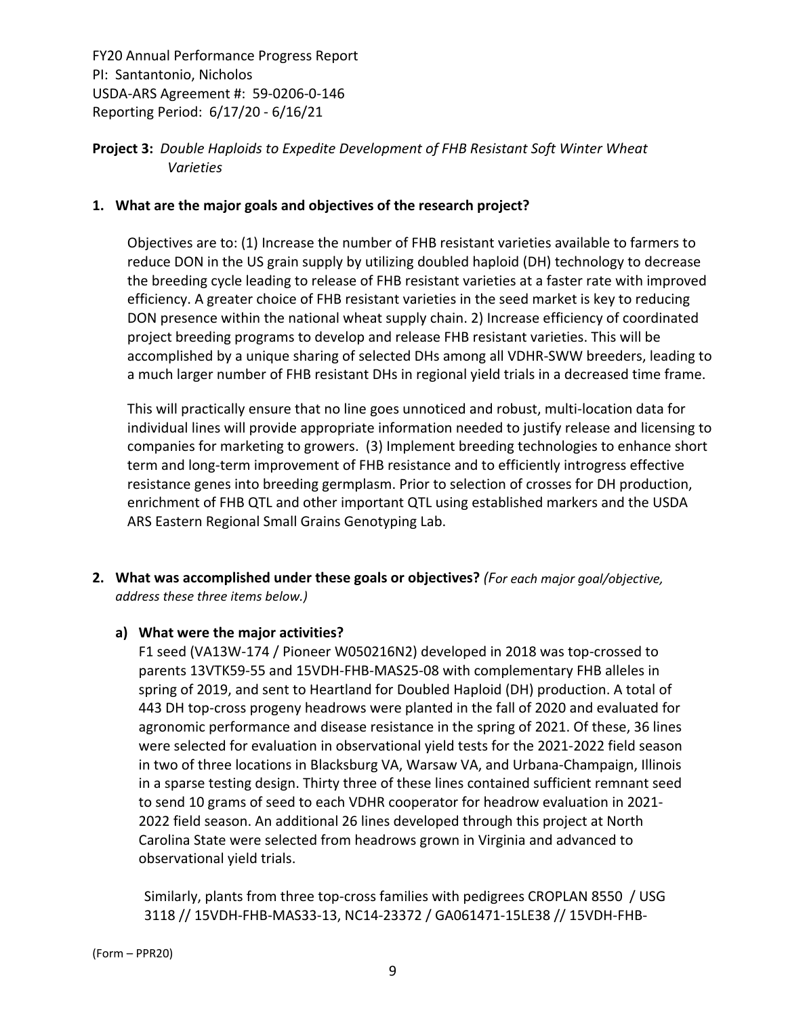## **Project 3:** *Double Haploids to Expedite Development of FHB Resistant Soft Winter Wheat Varieties*

## **1. What are the major goals and objectives of the research project?**

Objectives are to: (1) Increase the number of FHB resistant varieties available to farmers to reduce DON in the US grain supply by utilizing doubled haploid (DH) technology to decrease the breeding cycle leading to release of FHB resistant varieties at a faster rate with improved efficiency. A greater choice of FHB resistant varieties in the seed market is key to reducing DON presence within the national wheat supply chain. 2) Increase efficiency of coordinated project breeding programs to develop and release FHB resistant varieties. This will be accomplished by a unique sharing of selected DHs among all VDHR‐SWW breeders, leading to a much larger number of FHB resistant DHs in regional yield trials in a decreased time frame.

This will practically ensure that no line goes unnoticed and robust, multi‐location data for individual lines will provide appropriate information needed to justify release and licensing to companies for marketing to growers. (3) Implement breeding technologies to enhance short term and long-term improvement of FHB resistance and to efficiently introgress effective resistance genes into breeding germplasm. Prior to selection of crosses for DH production, enrichment of FHB QTL and other important QTL using established markers and the USDA ARS Eastern Regional Small Grains Genotyping Lab.

**2. What was accomplished under these goals or objectives?** *(For each major goal/objective, address these three items below.)*

#### **a) What were the major activities?**

F1 seed (VA13W‐174 / Pioneer W050216N2) developed in 2018 was top‐crossed to parents 13VTK59‐55 and 15VDH‐FHB‐MAS25‐08 with complementary FHB alleles in spring of 2019, and sent to Heartland for Doubled Haploid (DH) production. A total of 443 DH top‐cross progeny headrows were planted in the fall of 2020 and evaluated for agronomic performance and disease resistance in the spring of 2021. Of these, 36 lines were selected for evaluation in observational yield tests for the 2021‐2022 field season in two of three locations in Blacksburg VA, Warsaw VA, and Urbana‐Champaign, Illinois in a sparse testing design. Thirty three of these lines contained sufficient remnant seed to send 10 grams of seed to each VDHR cooperator for headrow evaluation in 2021‐ 2022 field season. An additional 26 lines developed through this project at North Carolina State were selected from headrows grown in Virginia and advanced to observational yield trials.

Similarly, plants from three top-cross families with pedigrees CROPLAN 8550 / USG 3118 // 15VDH‐FHB‐MAS33‐13, NC14‐23372 / GA061471‐15LE38 // 15VDH‐FHB‐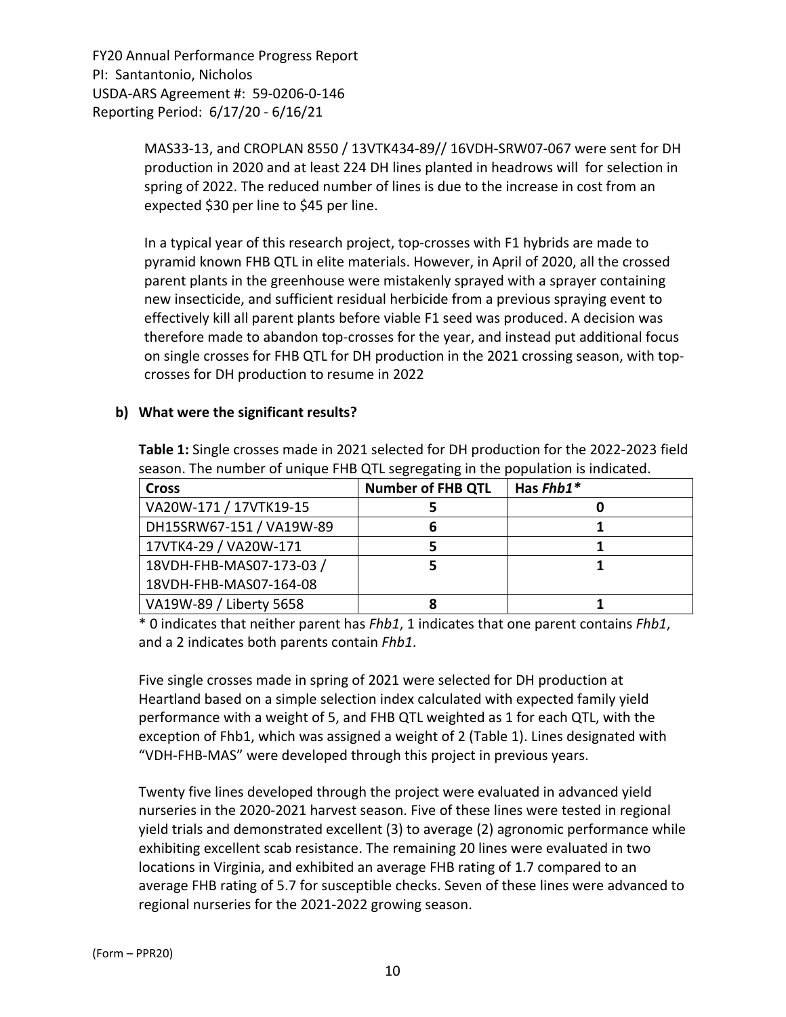> MAS33‐13, and CROPLAN 8550 / 13VTK434‐89// 16VDH‐SRW07‐067 were sent for DH production in 2020 and at least 224 DH lines planted in headrows will for selection in spring of 2022. The reduced number of lines is due to the increase in cost from an expected \$30 per line to \$45 per line.

> In a typical year of this research project, top‐crosses with F1 hybrids are made to pyramid known FHB QTL in elite materials. However, in April of 2020, all the crossed parent plants in the greenhouse were mistakenly sprayed with a sprayer containing new insecticide, and sufficient residual herbicide from a previous spraying event to effectively kill all parent plants before viable F1 seed was produced. A decision was therefore made to abandon top‐crosses for the year, and instead put additional focus on single crosses for FHB QTL for DH production in the 2021 crossing season, with top‐ crosses for DH production to resume in 2022

#### **b) What were the significant results?**

**Table 1:** Single crosses made in 2021 selected for DH production for the 2022‐2023 field season. The number of unique FHB QTL segregating in the population is indicated.

| <b>Cross</b>             | <b>Number of FHB QTL</b> | Has $Fhb1*$ |
|--------------------------|--------------------------|-------------|
| VA20W-171 / 17VTK19-15   |                          |             |
| DH15SRW67-151 / VA19W-89 | D                        |             |
| 17VTK4-29 / VA20W-171    |                          |             |
| 18VDH-FHB-MAS07-173-03 / |                          |             |
| 18VDH-FHB-MAS07-164-08   |                          |             |
| VA19W-89 / Liberty 5658  |                          |             |

\* 0 indicates that neither parent has *Fhb1*, 1 indicates that one parent contains *Fhb1*, and a 2 indicates both parents contain *Fhb1*.

Five single crosses made in spring of 2021 were selected for DH production at Heartland based on a simple selection index calculated with expected family yield performance with a weight of 5, and FHB QTL weighted as 1 for each QTL, with the exception of Fhb1, which was assigned a weight of 2 (Table 1). Lines designated with "VDH‐FHB‐MAS" were developed through this project in previous years.

Twenty five lines developed through the project were evaluated in advanced yield nurseries in the 2020‐2021 harvest season. Five of these lines were tested in regional yield trials and demonstrated excellent (3) to average (2) agronomic performance while exhibiting excellent scab resistance. The remaining 20 lines were evaluated in two locations in Virginia, and exhibited an average FHB rating of 1.7 compared to an average FHB rating of 5.7 for susceptible checks. Seven of these lines were advanced to regional nurseries for the 2021‐2022 growing season.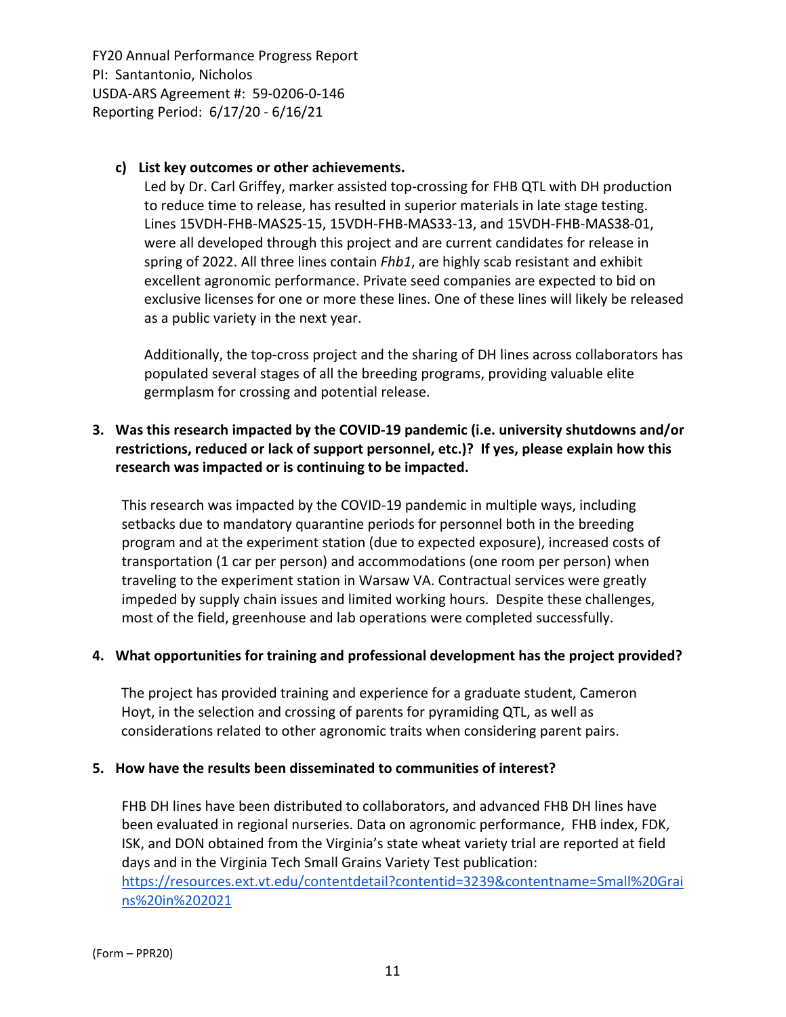## **c) List key outcomes or other achievements.**

Led by Dr. Carl Griffey, marker assisted top-crossing for FHB QTL with DH production to reduce time to release, has resulted in superior materials in late stage testing. Lines 15VDH‐FHB‐MAS25‐15, 15VDH‐FHB‐MAS33‐13, and 15VDH‐FHB‐MAS38‐01, were all developed through this project and are current candidates for release in spring of 2022. All three lines contain *Fhb1*, are highly scab resistant and exhibit excellent agronomic performance. Private seed companies are expected to bid on exclusive licenses for one or more these lines. One of these lines will likely be released as a public variety in the next year.

Additionally, the top‐cross project and the sharing of DH lines across collaborators has populated several stages of all the breeding programs, providing valuable elite germplasm for crossing and potential release.

## **3. Was this research impacted by the COVID‐19 pandemic (i.e. university shutdowns and/or restrictions, reduced or lack of support personnel, etc.)? If yes, please explain how this research was impacted or is continuing to be impacted.**

This research was impacted by the COVID‐19 pandemic in multiple ways, including setbacks due to mandatory quarantine periods for personnel both in the breeding program and at the experiment station (due to expected exposure), increased costs of transportation (1 car per person) and accommodations (one room per person) when traveling to the experiment station in Warsaw VA. Contractual services were greatly impeded by supply chain issues and limited working hours. Despite these challenges, most of the field, greenhouse and lab operations were completed successfully.

#### **4. What opportunities for training and professional development has the project provided?**

The project has provided training and experience for a graduate student, Cameron Hoyt, in the selection and crossing of parents for pyramiding QTL, as well as considerations related to other agronomic traits when considering parent pairs.

#### **5. How have the results been disseminated to communities of interest?**

FHB DH lines have been distributed to collaborators, and advanced FHB DH lines have been evaluated in regional nurseries. Data on agronomic performance, FHB index, FDK, ISK, and DON obtained from the Virginia's state wheat variety trial are reported at field days and in the Virginia Tech Small Grains Variety Test publication: https://resources.ext.vt.edu/contentdetail?contentid=3239&contentname=Small%20Grai ns%20in%202021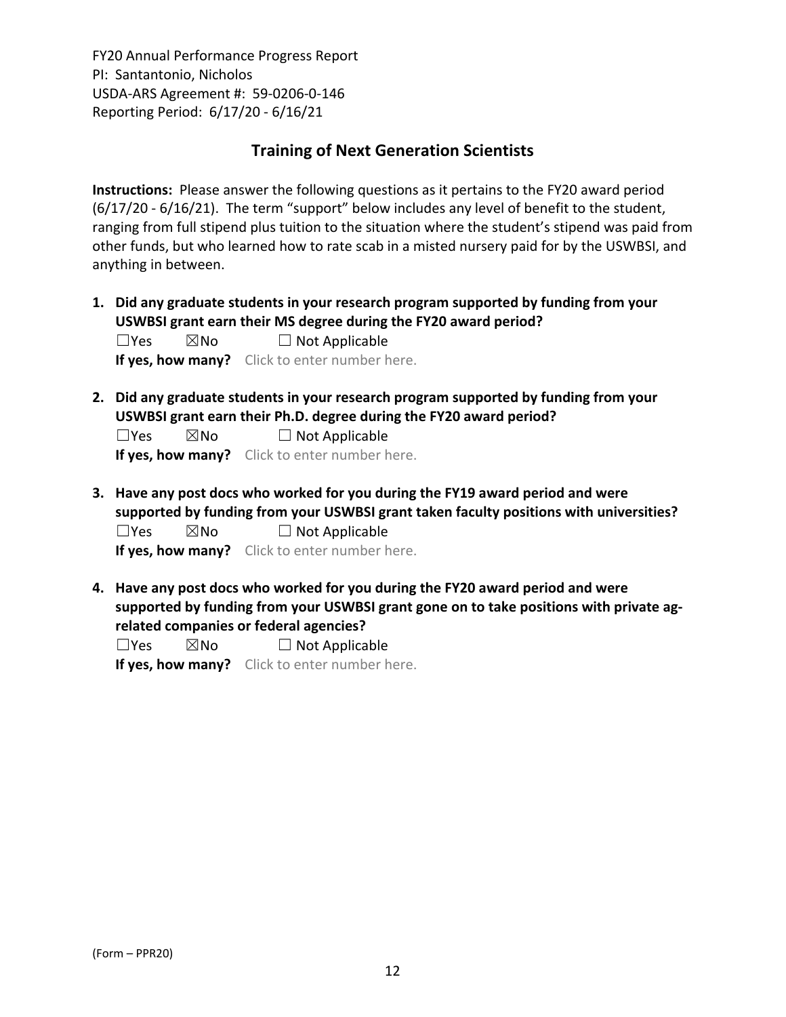# **Training of Next Generation Scientists**

**Instructions:** Please answer the following questions as it pertains to the FY20 award period (6/17/20 ‐ 6/16/21). The term "support" below includes any level of benefit to the student, ranging from full stipend plus tuition to the situation where the student's stipend was paid from other funds, but who learned how to rate scab in a misted nursery paid for by the USWBSI, and anything in between.

**1. Did any graduate students in your research program supported by funding from your USWBSI grant earn their MS degree during the FY20 award period?**  $\Box$ Yes  $\boxtimes$ No  $\Box$  Not Applicable

**If yes, how many?** Click to enter number here.

**2. Did any graduate students in your research program supported by funding from your USWBSI grant earn their Ph.D. degree during the FY20 award period?**

 $\Box$ Yes  $\boxtimes$ No  $\Box$  Not Applicable

**If yes, how many?** Click to enter number here.

**3. Have any post docs who worked for you during the FY19 award period and were supported by funding from your USWBSI grant taken faculty positions with universities?**  $\square$ Yes  $\square$ No  $\square$  Not Applicable

**If yes, how many?** Click to enter number here.

**4. Have any post docs who worked for you during the FY20 award period and were supported by funding from your USWBSI grant gone on to take positions with private ag‐ related companies or federal agencies?**

 $\square$ Yes  $\square$ No  $\square$  Not Applicable

**If yes, how many?** Click to enter number here.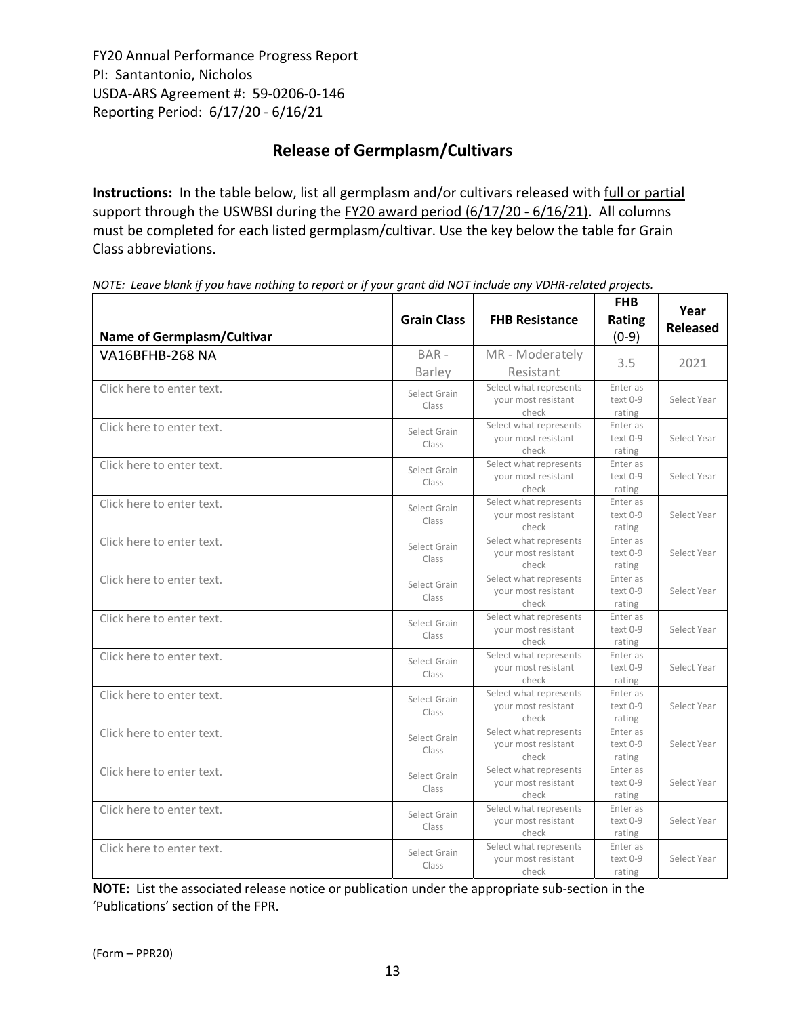# **Release of Germplasm/Cultivars**

**Instructions:** In the table below, list all germplasm and/or cultivars released with full or partial support through the USWBSI during the FY20 award period (6/17/20 - 6/16/21). All columns must be completed for each listed germplasm/cultivar. Use the key below the table for Grain Class abbreviations. 

| <b>Name of Germplasm/Cultivar</b> | <b>Grain Class</b>    | <b>FHB Resistance</b>                                  | <b>FHB</b><br>Rating<br>$(0-9)$  | Year<br><b>Released</b> |
|-----------------------------------|-----------------------|--------------------------------------------------------|----------------------------------|-------------------------|
| <b>VA16BFHB-268 NA</b>            | BAR-<br>Barley        | MR - Moderately<br>Resistant                           | 3.5                              | 2021                    |
| Click here to enter text.         | Select Grain<br>Class | Select what represents<br>your most resistant<br>check | Enter as<br>$text 0-9$<br>rating | Select Year             |
| Click here to enter text.         | Select Grain<br>Class | Select what represents<br>your most resistant<br>check | Enter as<br>text 0-9<br>rating   | Select Year             |
| Click here to enter text.         | Select Grain<br>Class | Select what represents<br>your most resistant<br>check | Enter as<br>text 0-9<br>rating   | Select Year             |
| Click here to enter text.         | Select Grain<br>Class | Select what represents<br>your most resistant<br>check | Enter as<br>text 0-9<br>rating   | Select Year             |
| Click here to enter text.         | Select Grain<br>Class | Select what represents<br>your most resistant<br>check | Enter as<br>text 0-9<br>rating   | Select Year             |
| Click here to enter text.         | Select Grain<br>Class | Select what represents<br>your most resistant<br>check | Enter as<br>text 0-9<br>rating   | Select Year             |
| Click here to enter text.         | Select Grain<br>Class | Select what represents<br>your most resistant<br>check | Enter as<br>text 0-9<br>rating   | Select Year             |
| Click here to enter text.         | Select Grain<br>Class | Select what represents<br>your most resistant<br>check | Enter as<br>text 0-9<br>rating   | Select Year             |
| Click here to enter text.         | Select Grain<br>Class | Select what represents<br>your most resistant<br>check | Enter as<br>text 0-9<br>rating   | Select Year             |
| Click here to enter text.         | Select Grain<br>Class | Select what represents<br>your most resistant<br>check | Enter as<br>text 0-9<br>rating   | Select Year             |
| Click here to enter text.         | Select Grain<br>Class | Select what represents<br>your most resistant<br>check | Enter as<br>text 0-9<br>rating   | Select Year             |
| Click here to enter text.         | Select Grain<br>Class | Select what represents<br>your most resistant<br>check | Enter as<br>text 0-9<br>rating   | Select Year             |
| Click here to enter text.         | Select Grain<br>Class | Select what represents<br>vour most resistant<br>check | Enter as<br>text 0-9<br>rating   | Select Year             |

NOTE: Leave blank if you have nothing to report or if your grant did NOT include any VDHR-related projects.

**NOTE:** List the associated release notice or publication under the appropriate sub-section in the 'Publications' section of the FPR.